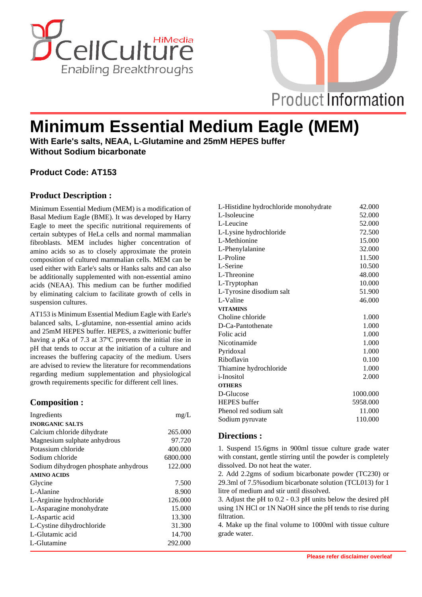



# **Minimum Essential Medium Eagle (MEM)**

**With Earle's salts, NEAA, L-Glutamine and 25mM HEPES buffer Without Sodium bicarbonate**

## **Product Code: AT153**

### **Product Description :**

Minimum Essential Medium (MEM) is a modification of Basal Medium Eagle (BME). It was developed by Harry Eagle to meet the specific nutritional requirements of certain subtypes of HeLa cells and normal mammalian fibroblasts. MEM includes higher concentration of amino acids so as to closely approximate the protein composition of cultured mammalian cells. MEM can be used either with Earle's salts or Hanks salts and can also be additionally supplemented with non-essential amino acids (NEAA). This medium can be further modified by eliminating calcium to facilitate growth of cells in suspension cultures.

AT153 is Minimum Essential Medium Eagle with Earle's balanced salts, L-glutamine, non-essential amino acids and 25mM HEPES buffer. HEPES, a zwitterionic buffer having a pKa of 7.3 at 37ºC prevents the initial rise in pH that tends to occur at the initiation of a culture and increases the buffering capacity of the medium. Users are advised to review the literature for recommendations regarding medium supplementation and physiological growth requirements specific for different cell lines.

#### **Composition :**

| Ingredients                           | mg/L     |
|---------------------------------------|----------|
| <b>INORGANIC SALTS</b>                |          |
| Calcium chloride dihydrate            | 265,000  |
| Magnesium sulphate anhydrous          | 97.720   |
| Potassium chloride                    | 400.000  |
| Sodium chloride                       | 6800.000 |
| Sodium dihydrogen phosphate anhydrous | 122.000  |
| <b>AMINO ACIDS</b>                    |          |
| Glycine                               | 7.500    |
| L-Alanine                             | 8.900    |
| L-Arginine hydrochloride              | 126.000  |
| L-Asparagine monohydrate              | 15.000   |
| L-Aspartic acid                       | 13.300   |
| L-Cystine dihydrochloride             | 31.300   |
| L-Glutamic acid                       | 14.700   |
| L-Glutamine                           | 292.000  |

| L-Histidine hydrochloride monohydrate | 42.000   |
|---------------------------------------|----------|
| L-Isoleucine                          | 52.000   |
| L-Leucine                             | 52.000   |
| L-Lysine hydrochloride                | 72.500   |
| L-Methionine                          | 15.000   |
| L-Phenylalanine                       | 32.000   |
| L-Proline                             | 11.500   |
| L-Serine                              | 10.500   |
| L-Threonine                           | 48.000   |
| L-Tryptophan                          | 10.000   |
| L-Tyrosine disodium salt              | 51.900   |
| L-Valine                              | 46.000   |
| <b>VITAMINS</b>                       |          |
| Choline chloride                      | 1.000    |
| D-Ca-Pantothenate                     | 1.000    |
| Folic acid                            | 1.000    |
| Nicotinamide                          | 1.000    |
| Pyridoxal                             | 1.000    |
| Riboflavin                            | 0.100    |
| Thiamine hydrochloride                | 1.000    |
| <i>i</i> -Inositol                    | 2.000    |
| <b>OTHERS</b>                         |          |
| D-Glucose                             | 1000.000 |
| <b>HEPES</b> buffer                   | 5958.000 |
| Phenol red sodium salt                | 11.000   |
| Sodium pyruvate                       | 110.000  |
|                                       |          |

#### **Directions :**

1. Suspend 15.6gms in 900ml tissue culture grade water with constant, gentle stirring until the powder is completely dissolved. Do not heat the water.

2. Add 2.2gms of sodium bicarbonate powder (TC230) or 29.3ml of 7.5%sodium bicarbonate solution (TCL013) for 1 litre of medium and stir until dissolved.

3. Adjust the pH to 0.2 - 0.3 pH units below the desired pH using 1N HCl or 1N NaOH since the pH tends to rise during filtration.

4. Make up the final volume to 1000ml with tissue culture grade water.